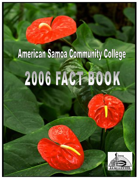## American Samoa Community College 2006 FACT BOOK

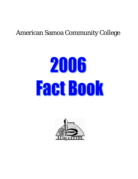### American Samoa Community College

# 2006 Fact Book

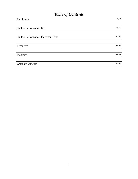### *Table of Contents*

| Enrollment                                 | $3-15$    |
|--------------------------------------------|-----------|
|                                            |           |
| <b>Student Performance: ELI</b>            | $16-19$   |
| <b>Student Performance: Placement Test</b> | $20 - 24$ |
| Resources                                  | $25 - 27$ |
| Programs                                   | 28-33     |
| <b>Graduate Statistics</b>                 | 34-44     |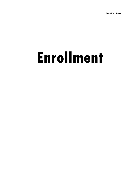### **Enrollment**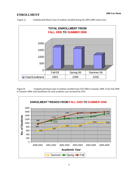Figure A. Unduplicated Head Count of students enrolled during the 2005-2006 school year.



Figure B. Unduplicated head count of students enrolled from Fall 2000 to Summer 2006. From Fall 2000 to Summer 2006, total enrollment for each academic year increased by 63%.

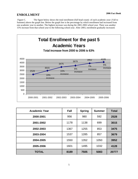Figure C. The figure below shows the total enrollment (full head count) of each academic year ( Fall to Summer) above the graph line. Below the graph line is the percentage by which enrollment had increased from one academic year to another. The highest increase was during the 2001-2002 school year. There was another 15% increase from that school year to the following school year. After 2003, enrollment gradually increased.



| <b>Academic Year</b> | <b>Fall</b> | <b>Spring</b> | <b>Summer</b> | <b>Total</b> |
|----------------------|-------------|---------------|---------------|--------------|
| 2000-2001            | 956         | 980           | 592           | 2528         |
| 2001-2002            | 1178        | 1138          | 699           | 3015         |
| 2002-2003            | 1367        | 1255          | 853           | 3475         |
| 2003-2004            | 1537        | 1285          | 857           | 3679         |
| 2004-2005            | 1550        | 1352          | 1050          | 3952         |
| 2005-2006            | 1601        | 1495          | 1032          | 4128         |
| <b>TOTAL</b>         | 8189        | 7505          | 5083          | 20777        |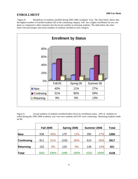Figure D. Breakdown of students enrolled during 2005-2006 Academic Year. The chart below shows that the highest number of enrolled students fall in the continuing category. Fall has a higher enrollment for new students as compared to other semesters but the lowest number in returning students. The table below the chart shows the percentages and actual numbers of students enrolled in each category.



Figure E. Actual numbers of students enrolled broken down by enrollment status. 26% of students enrolled during the 2005-2006 academic year were new students and 63% were continuing. Returning students made up the

|                   | <b>Fall 2005</b> |      | Spring 2006 |      | Summer 2006 |      | <b>Total</b> |
|-------------------|------------------|------|-------------|------|-------------|------|--------------|
| <b>New</b>        | 638              | 40%  | 170         | 11%  | 282         | 27%  | 1090         |
| <b>Continuing</b> | 811              | 51%  | 1192        | 80%  | 614         | 59%  | 2617         |
| <b>Returning</b>  | 152              | 9%   | 133         | 9%   | 136         | 13%  | 421          |
| Total             | 1601             | 100% | 1495        | 100% | 1032        | 100% | 4128         |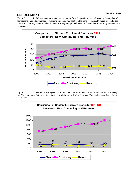### **ENROLLMENT**

 Figure F. In Fall, there are more students continuing from the previous year, followed by the number of new students, and a low number of returning students. This has been the trend for the past 6 years. Recently, the number of returning students and new students is beginning to recline while the number of returning students have increased.



 Figure G. The trend in Spring semesters show that New enrollment and Returning enrollment are very low. There are more Returning students who enroll during the Spring Semester. This has been consistent for the past 6 years.

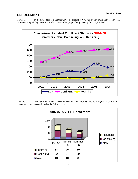Figure H. In the figure below, in Summer 2005, the amount of New student enrollment increased by 77% in 2005 which probably means that students are enrolling right after graduating from High School..



 Figure I. The figure below shows the enrollment breakdown for ASTEP. As in regular ASCC Enrollment, more students enroll during the Fall semester.

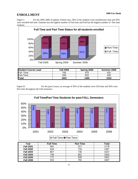Figure J. For the 2005-2006 Academic School year, 50% of the students were enrolled part time and 50% were enrolled full time. Summer has the highest number of Full time and Fall has the highest number of Part time students.



| <b>Student Course Load</b> | <b>Fall 2005</b> | Spring 2006 | Summer 2006 |
|----------------------------|------------------|-------------|-------------|
| Full -Time                 | 765              | 670         | 632         |
| Part-Time                  | 836              | 825         | 400         |
| Total                      | 1601             | 1495        | 1032        |

Figure K. For the past 6 years, an average of 50% of the students were Full time and 50% were Part time throughout the Fall semesters.



| Year             | <b>Full Time</b> | <b>Part Time</b> | <b>Total</b> |
|------------------|------------------|------------------|--------------|
| <b>Fall 2001</b> | 661              | 517              | 1178         |
| <b>Fall 2002</b> | 634              | 733              | 1367         |
| <b>Fall 2003</b> | 807              | 730              | 1537         |
| <b>Fall 2004</b> | 749              | 801              | 1550         |
| <b>Fall 2005</b> | 771              | 830              | 1601         |
| <b>Fall 2006</b> | 815              | 792              | 1607         |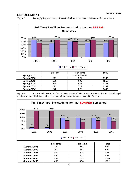Figure L. During Spring, the average of 50% for both sides remained consistent for the past 4 years.



|             |                      |     | .    |
|-------------|----------------------|-----|------|
| Spring 2001 | <b>Not Available</b> |     |      |
| Spring 2002 | 617                  | 521 | 1138 |
| Spring 2003 | 560                  | 695 | 1255 |
| Spring 2004 | 648                  | 637 | 1285 |
| Spring 2005 | 623                  | 729 | 1352 |
| Spring 2006 | 670                  | 825 | 1495 |

Figure M. In 2001 and 2002, 93% of the students were enrolled Part time. Since then that trend has changed and there are more Full time students enrolled in Summer sessions as compared to Part time.



|                    | <b>Full Time</b> | <b>Part Time</b> | Total |
|--------------------|------------------|------------------|-------|
| Summer 2001        | 44               | 548              | 592   |
| Summer 2002        | 52               | 647              | 699   |
| Summer 2003        | 480              | 373              | 853   |
| Summer 2004        | 550              | 307              | 857   |
| <b>Summer 2005</b> | 598              | 452              | 1050  |
| Summer 2006        | 632              | 400              | 1032  |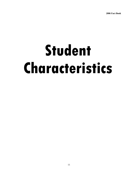### **Student Characteristics**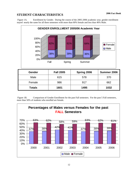### **STUDENT CHARACTERISTICS**

 Figure 1A. Enrollment by Gender. During the course of the 2005-2006 academic year, gender enrollment stayed nearly the same for all three semesters with more than 60% female and less than 40% Male.



| <b>Totals</b> | 1601 | 1495 | 1032 |
|---------------|------|------|------|
| Female        | 986  | 917  | 662  |
| Male          | 615  | 578  | 370  |

 Figure 1B. Comparison of Gender Enrollment for the past Fall semesters. For the past 5 Fall semesters, more than 50% of students who enrolled are female.

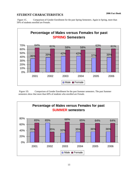### **STUDENT CHARACTERISTICS**

Figure 1C. Comparison of Gender Enrollment for the past Spring Semesters. Again in Spring, more than 50% of students enrolled are Female.



 Figure 1D. Comparison of Gender Enrollment for the past Summer semesters. The past Summer semesters show that more than 60% of students who enrolled are Female.

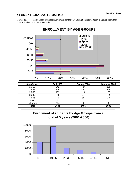### **STUDENT CHARACTERISTICS**

 Figure 1E. Comparison of Gender Enrollment for the past Spring Semesters. Again in Spring, more than 50% of students enrolled are Female.



| <b>Age Group</b> | <b>Fall 2005</b> | Spring 2006 | Summer 2006 |
|------------------|------------------|-------------|-------------|
| $15 - 18$        | 242              | 424         | 295         |
| 19-25            | 776              | 824         | 525         |
| 26-35            | 139              | 114         | 107         |
| 36-45            | 74               | 84          | 72          |
| 46-55            | 40               | 38          | 28          |
| $56+$            |                  |             |             |
| Unknown          | 324              |             |             |
| Total            | 1601             | 1495        | 1032        |

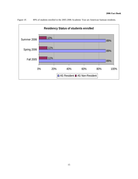

Figure 1F. 89% of students enrolled in the 2005-2006 Academic Year are American Samoan residents.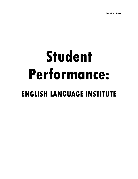### **Student Performance: ENGLISH LANGUAGE INSTITUTE**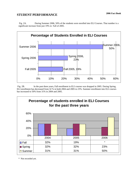### **2006 Fact Book STUDENT PERFORMANCE**

 Fig. 2A. During Summer 2006, 50% of the students were enrolled into ELI Courses. That number is a significant increase from just 19% in Fall of 2005.



 Fig. 2B. In the past three years, Fall enrollment in ELI courses was dropped in 2005. During Spring, ELI enrollment has decreased from 32 % in both 2004 and 2005 to 23%. Summer enrollment into ELI courses has increased to 50% from 31% in 2004 and 2005.



\* Not recorded yet.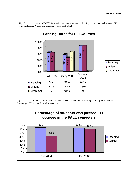

 Fig.2C. In the 2005-2006 Academic year, there has been a climbing success rate in all areas of ELI courses, Reading Writing and Grammar (where applicable).

 Fig. 2D. In Fall semesters, 64% of students who enrolled in ELI Reading courses passed their classes. An average of 53% passed the Writing courses.

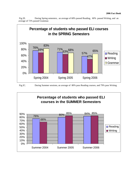

 Fig.2E. During Spring semesters, an average of 68% passed Reading, 60% passed Writing, and an average of 72% passed Grammar.



Fig.2C. During Summer sessions, an average of 80% pass Reading courses, and 79% pass Writing.

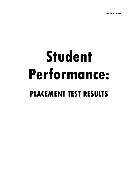### **Student Performance: PLACEMENT TEST RESULTS**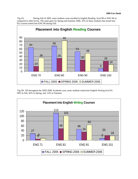Fig.3A. During Fall of 2005, more students were enrolled in English Reading level 80 or ENG 80 as compared to other levels. The same goes for Spring and Summer 2006. 35% of those students that tested into ELI courses tested into ENG 80 during Fall.



 Fig.3B. All throughout the 2005-2006 Academic year, more students tested into English Writing level 81: 58% in Fall, 45% in Spring, and 53% in Summer.

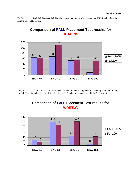Fig.3C. Both Fall 2004 and Fall 2005 both show that more students tested into ENG Reading level 80 than the other ENG levels.



Fig.3D In Fall of 2004, more students tested into ENG Writing level 91 than they did in Fall of 2005. In Fall 05, that number decreased significantly by 30% and more students tested into ENG level 81.

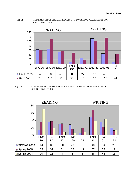Fig. 3E. COMPARISON OF ENGLISH READING AND WRITING PLACEMENTS FOR FALL SEMESTERS.



Fig. 3F. COMPARISON OF ENGLISH READING AND WRITING PLACEMENTS FOR SPRING SEMESTERS.

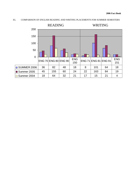#### 3G. COMPARISON OF ENGLISH READING AND WRITING PLACEMENTS FOR SUMMER SEMESTERS

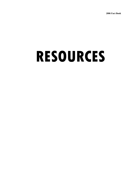### **RESOURCES**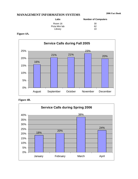### **MANAGEMENT INFORMATION SYSTEMS**

| Labs           | <b>Number of Computers</b> |
|----------------|----------------------------|
| Room 16        | 30                         |
| Picta Mini lab | 62                         |
| Library        | 10                         |

### **Figure 4A.**





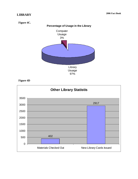### **2006 Fact Book LIBRARY**

**Figure 4C.** 



### **Figure 4D**

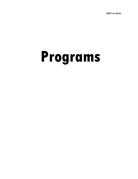## **Programs**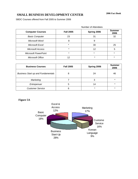### **SMALL BUSINESS DEVELOPMENT CENTER**

SBDC Courses offered from Fall 2005 to Summer 2006

|                             |                  | <b>Number of Attendees</b> |                       |
|-----------------------------|------------------|----------------------------|-----------------------|
| <b>Computer Courses</b>     | <b>Fall 2005</b> | Spring 2006                | <b>Summer</b><br>2006 |
| <b>Basic Computer</b>       | 23               | 31                         | 32                    |
| Microsoft Word              | 8                | 9                          |                       |
| Microsoft Excel             | $\star$          | 30                         | 25                    |
| <b>Microsoft Access</b>     | $\star$          | 12                         | 5                     |
| <b>Microsoft PowerPoint</b> | $\star$          | $\star$                    | $\star$               |
| Microsoft Office            | 12               | $\star$                    | $\star$               |

| <b>Business Courses</b>                   | <b>Fall 2005</b> | Spring 2006 | <b>Summer</b><br>2006 |
|-------------------------------------------|------------------|-------------|-----------------------|
| <b>Business Start up and Fundamentals</b> |                  | 24          | 46                    |
| Marketing                                 |                  | 3           | $^\star$              |
| Entrepenuer                               | 5                | 14          | *                     |
| <b>Customer Service</b>                   |                  | $\star$     | *                     |

### **Figure 5A**

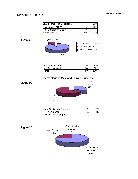### **UPWARD BOUND**

| Low-Income First Generation:  |      |
|-------------------------------|------|
| Low Income ONLY:              | 10%  |
| <b>First-Generation ONLY:</b> |      |
| Total (required):             | 100% |

#### **Figure 5B**



| # of Male Students:   | 16 |      |
|-----------------------|----|------|
| # of Female Students: |    |      |
| Total:                |    | 100% |

### **Percentage of Male and Female Students**

**Figure 5C** 



| # of Continuing Students | 38 | 76% |
|--------------------------|----|-----|
| <b>New Students</b>      |    | 24% |
| Students who dropped     |    |     |

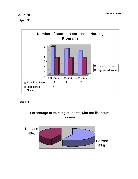### **NURSING**

**Figure 5E** 



### **Figure 5F**

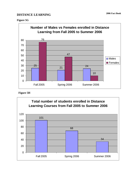### **DISTANCE LEARNING** 2006 Fact Book

### **Figure 5G**





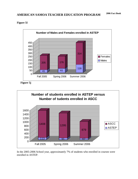### **2006 Fact Book AMERICAN SAMOA TEACHER EDUCATION PROGRAM**





**Figure 5j** 



In the 2005-2006 School year, approximately 7% of students who enrolled in courses were enrolled in ASTEP.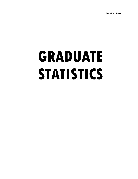## **GRADUATE STATISTICS**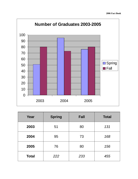

| Year         | <b>Spring</b> | <b>Fall</b> | <b>Total</b> |
|--------------|---------------|-------------|--------------|
| 2003         | 51            | 80          | 131          |
| 2004         | 95            | 73          | 168          |
| 2005         | 76            | 80          | 156          |
| <b>Total</b> | 222           | 233         | 455          |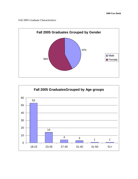Fall 2005 Graduate Characteristics



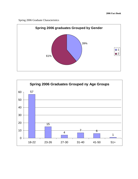Spring 2006 Graduate Characteristics



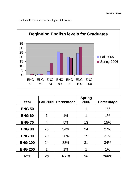Graduate Performance in Developmental Courses



| Year           |    | Fall 2005 Percentage | <b>Spring</b><br>2006 | <b>Percentage</b> |
|----------------|----|----------------------|-----------------------|-------------------|
| <b>ENG 50</b>  |    |                      |                       | $1\%$             |
| <b>ENG 60</b>  | 1  | 1%                   | 1                     | 1%                |
| <b>ENG 70</b>  | 4  | 5%                   | 13                    | 15%               |
| <b>ENG 80</b>  | 26 | 34%                  | 24                    | 27%               |
| <b>ENG 90</b>  | 20 | 26%                  | 19                    | 21%               |
| <b>ENG 100</b> | 24 | 33%                  | 31                    | 34%               |
| <b>ENG 200</b> |    | 1%                   | 1                     | 1%                |
| <b>Total</b>   | 76 | 100%                 | 90                    | 100%              |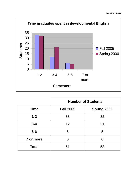

|              | <b>Number of Students</b> |                    |  |
|--------------|---------------------------|--------------------|--|
| <b>Time</b>  | <b>Fall 2005</b>          | <b>Spring 2006</b> |  |
| $1 - 2$      | 33                        | 32                 |  |
| $3 - 4$      | 12 <sup>2</sup>           | 21                 |  |
| $5-6$        | 6                         | 5                  |  |
| 7 or more    | Ω                         |                    |  |
| <b>Total</b> | 51                        | 58                 |  |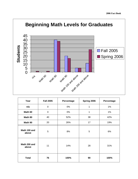

| Year                  | <b>Fall 2005</b> | Percentage | Spring 2006 | Percentage |
|-----------------------|------------------|------------|-------------|------------|
| n/a                   | $\mathbf 0$      | 0%         | 1           | 1%         |
| Math 60               | $\mathbf 0$      | 0%         | 1           | 1%         |
| Math 80               | 40               | 52%        | 38          | 42%        |
| Math 90               | 20               | 26%        | 17          | 19%        |
| Math 100 and<br>above | 5                | 8%         | 5           | 6%         |
| Math 200 and<br>above | 11               | 14%        | 28          | 31%        |
| <b>Total</b>          | 76               | 100%       | 90          | 100%       |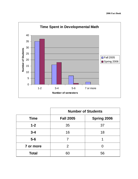

|              | <b>Number of Students</b>              |    |  |
|--------------|----------------------------------------|----|--|
| <b>Time</b>  | <b>Spring 2006</b><br><b>Fall 2005</b> |    |  |
| $1 - 2$      | 35                                     | 37 |  |
| $3 - 4$      | 16                                     | 18 |  |
| $5-6$        |                                        |    |  |
| 7 or more    | 2                                      |    |  |
| <b>Total</b> | 60                                     | 56 |  |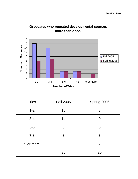

| <b>Tries</b> | <b>Fall 2005</b> | Spring 2006 |
|--------------|------------------|-------------|
| $1 - 2$      | 16               | 8           |
| $3 - 4$      | 14               | 9           |
| $5-6$        | 3                | 3           |
| $7 - 8$      | 3                | 3           |
| 9 or more    | 0                | 2           |
|              | 36               | 25          |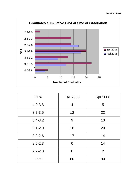

| <b>GPA</b>   | <b>Fall 2005</b> | <b>Spr 2006</b> |
|--------------|------------------|-----------------|
| $4.0 - 3.8$  | 4                | 5               |
| $3.7 - 3.5$  | 12               | 22              |
| $3.4 - 3.2$  | 9                | 13              |
| $3.1 - 2.9$  | 18               | 20              |
| $2.8 - 2.6$  | 17               | 14              |
| $2.5 - 2.3$  | $\Omega$         | 14              |
| $2.2 - 2.0$  | $\Omega$         | 2               |
| <b>Total</b> | 60               | 90              |